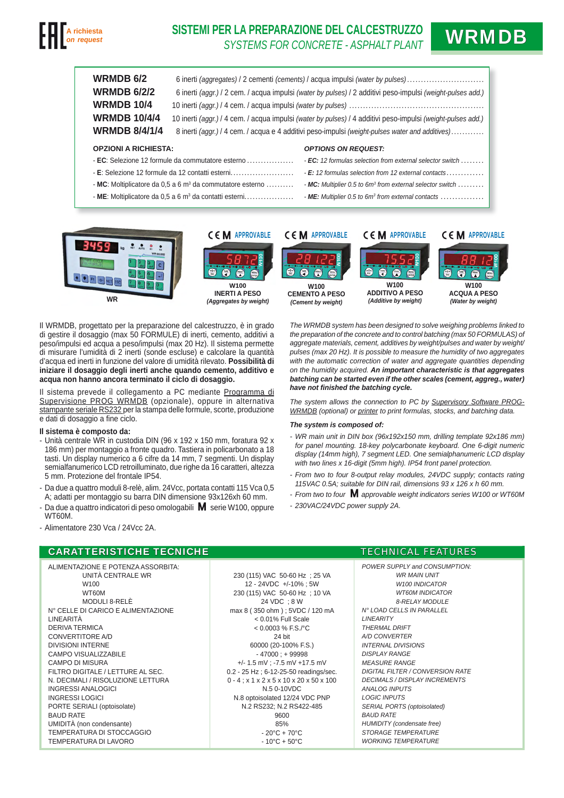

# **SISTEMI PER LA PREPARAZIONE DEL CALCESTRUZZO ER LA PREPARAZIONE DEL GALGESTRUZZU WRMDB**

| <b>WRMDB 6/2</b><br><b>WRMDB 6/2/2</b><br><b>WRMDB 10/4</b><br><b>WRMDB 10/4/4</b><br><b>WRMDB 8/4/1/4</b> | 6 inerti (aggregates) / 2 cementi (cements) / acqua impulsi (water by pulses)<br>6 inerti (aggr.) / 2 cem. / acqua impulsi (water by pulses) / 2 additivi peso-impulsi (weight-pulses add.)<br>10 inerti (aggr.) / 4 cem. / acqua impulsi (water by pulses) / 4 additivi peso-impulsi (weight-pulses add.)<br>8 inerti (aggr.) / 4 cem. / acqua e 4 additivi peso-impulsi (weight-pulses water and additives) |                                                                                                           |
|------------------------------------------------------------------------------------------------------------|---------------------------------------------------------------------------------------------------------------------------------------------------------------------------------------------------------------------------------------------------------------------------------------------------------------------------------------------------------------------------------------------------------------|-----------------------------------------------------------------------------------------------------------|
| <b>OPZIONI A RICHIESTA:</b>                                                                                |                                                                                                                                                                                                                                                                                                                                                                                                               | <b>OPTIONS ON REQUEST:</b>                                                                                |
| $\overline{C}$ : Selezione 12 formule da commutatore esterno                                               |                                                                                                                                                                                                                                                                                                                                                                                                               | <b>- EC:</b> 12 formulas selection from external selector switch $\ldots \ldots$                          |
|                                                                                                            |                                                                                                                                                                                                                                                                                                                                                                                                               | $\cdot$ E: 12 formulas selection from 12 external contacts                                                |
| - MC: Moltiplicatore da 0.5 a 6 $m^3$ da commutatore esterno                                               |                                                                                                                                                                                                                                                                                                                                                                                                               | $\blacksquare$ MC: Multiplier 0.5 to 6m <sup>3</sup> from external selector switch $\ldots \ldots \ldots$ |
| - ME: Moltiplicatore da $0.5$ a 6 m <sup>3</sup> da contatti esterni                                       |                                                                                                                                                                                                                                                                                                                                                                                                               | - ME: Multiplier 0.5 to $6m^3$ from external contacts $\dots\dots\dots\dots\dots$                         |



Il WRMDB, progettato per la preparazione del calcestruzzo, è in grado di gestire il dosaggio (max 50 FORMULE) di inerti, cemento, additivi a peso/impulsi ed acqua a peso/impulsi (max 20 Hz). Il sistema permette di misurare l'umidità di 2 inerti (sonde escluse) e calcolare la quantità d'acqua ed inerti in funzione del valore di umidità rilevato. **Possibilità di iniziare il dosaggio degli inerti anche quando cemento, additivo e acqua non hanno ancora terminato il ciclo di dosaggio.**

Il sistema prevede il collegamento a PC mediante Programma di Supervisione PROG WRMDB (opzionale), oppure in alternativa stampante seriale RS232 per la stampa delle formule, scorte, produzione e dati di dosaggio a fine ciclo.

## **Il sistema è composto da:**

- Unità centrale WR in custodia DIN (96 x 192 x 150 mm, foratura 92 x 186 mm) per montaggio a fronte quadro. Tastiera in policarbonato a 18 tasti. Un display numerico a 6 cifre da 14 mm, 7 segmenti. Un display semialfanumerico LCD retroilluminato, due righe da 16 caratteri, altezza 5 mm. Protezione del frontale IP54.
- Da due a quattro moduli 8-relè, alim. 24Vcc, portata contatti 115 Vca 0,5 A; adatti per montaggio su barra DIN dimensione 93x126xh 60 mm.
- Da due a quattro indicatori di peso omologabili  $\mathsf{M}$  serie W100, oppure WT60M.

*The WRMDB system has been designed to solve weighing problems linked to the preparation of the concrete and to control batching (max 50 FORMULAS) of aggregate materials, cement, additives by weight/pulses and water by weight/ pulses (max 20 Hz). It is possible to measure the humidity of two aggregates*  with the automatic correction of water and aggregate quantities depending *on the humidity acquired. An important characteristic is that aggregates batching can be started even if the other scales (cement, aggreg., water) have not fi nished the batching cycle.*

*The system allows the connection to PC by Supervisory Software PROG-WRMDB (optional) or printer to print formulas, stocks, and batching data.*

### *The system is composed of:*

- *WR main unit in DIN box (96x192x150 mm, drilling template 92x186 mm) for panel mounting. 18-key polycarbonate keyboard. One 6-digit numeric display (14mm high), 7 segment LED. One semialphanumeric LCD display with two lines x 16-digit (5mm high). IP54 front panel protection.*
- *From two to four 8-output relay modules, 24VDC supply; contacts rating 115VAC 0.5A; suitable for DIN rail, dimensions 93 x 126 x h 60 mm.*
- *From two to four M approvable weight indicators series W100 or WT60M*
- *230VAC/24VDC power supply 2A.*

### - Alimentatore 230 Vca / 24Vcc 2A.

# CARATTERISTICHE TECNICHE **ARATTERISTICHE** ARATTERISTICHE **TECHNICAL FEATURES**

ALIMENTAZIONE E POTENZA ASSORBITA: UNITÀ CENTRALE WR W100 WT60M MODULI 8-RELÈ N° CELLE DI CARICO E ALIMENTAZIONE LINEARITÀ DERIVA TERMICA CONVERTITORE A/D DIVISIONI INTERNE CAMPO VISUALIZZABILE CAMPO DI MISURA FILTRO DIGITALE / LETTURE AL SEC. N. DECIMALI / RISOLUZIONE LETTURA INGRESSI ANALOGICI INGRESSI LOGICI PORTE SERIALI (optoisolate) BAUD RATE UMIDITÀ (non condensante) TEMPERATURA DI STOCCAGGIO TEMPERATURA DI LAVORO

230 (115) VAC 50-60 Hz ; 25 VA 12 - 24VDC +/-10% ; 5W 230 (115) VAC 50-60 Hz ; 10 VA 24 VDC ; 8 W max 8 ( 350 ohm ) ; 5VDC / 120 mA < 0.01% Full Scale  $< 0.0003$  % F.S./°C 24 bit 60000 (20-100% F.S.) - 47000 ; + 99998 +/- 1.5 mV ; -7.5 mV +17.5 mV 0.2 - 25 Hz ; 6-12-25-50 readings/sec. 0 - 4 ; x 1 x 2 x 5 x 10 x 20 x 50 x 100 N.5 0-10VDC N.8 optoisolated 12/24 VDC PNP N.2 RS232; N.2 RS422-485 9600 85% - 20°C + 70°C  $-10^{\circ}$ C + 50 $^{\circ}$ C

*POWER SUPPLY and CONSUMPTION: WR MAIN UNIT W100 INDICATOR WT60M INDICATOR 8-RELAY MODULE N° LOAD CELLS IN PARALLEL LINEARITY THERMAL DRIFT A/D CONVERTER INTERNAL DIVISIONS DISPLAY RANGE MEASURE RANGE DIGITAL FILTER / CONVERSION RATE DECIMALS / DISPLAY INCREMENTS ANALOG INPUTS LOGIC INPUTS SERIAL PORTS (optoisolated) BAUD RATE HUMIDITY (condensate free) STORAGE TEMPERATURE WORKING TEMPERATURE*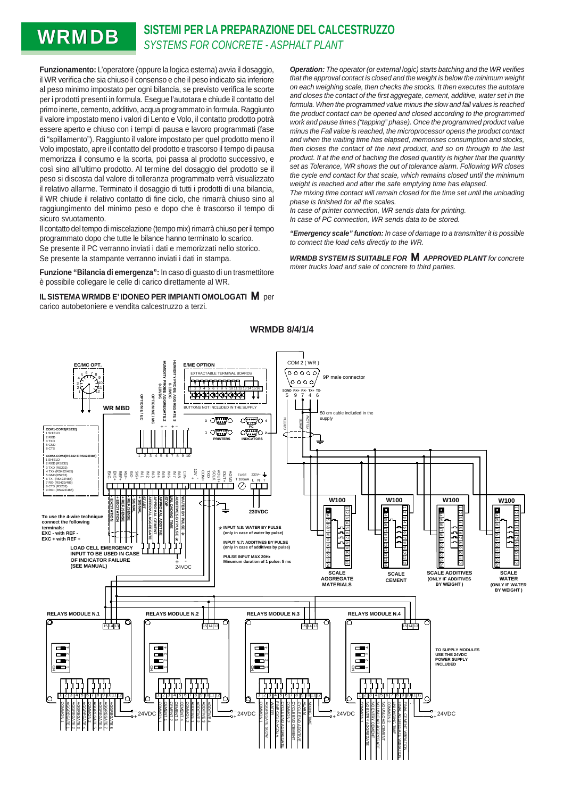# **WRMDB** SISTEMI PER LA PREPARAZIONE DEL CALCESTRUZZO

**Funzionamento:** L'operatore (oppure la logica esterna) avvia il dosaggio, il WR verifica che sia chiuso il consenso e che il peso indicato sia inferiore al peso minimo impostato per ogni bilancia, se previsto verifica le scorte per i prodotti presenti in formula. Esegue l'autotara e chiude il contatto del primo inerte, cemento, additivo, acqua programmato in formula. Raggiunto il valore impostato meno i valori di Lento e Volo, il contatto prodotto potrà essere aperto e chiuso con i tempi di pausa e lavoro programmati (fase di "spillamento"). Raggiunto il valore impostato per quel prodotto meno il Volo impostato, apre il contatto del prodotto e trascorso il tempo di pausa memorizza il consumo e la scorta, poi passa al prodotto successivo, e così sino all'ultimo prodotto. Al termine del dosaggio del prodotto se il peso si discosta dal valore di tolleranza programmato verrà visualizzato il relativo allarme. Terminato il dosaggio di tutti i prodotti di una bilancia, il WR chiude il relativo contatto di fine ciclo, che rimarrà chiuso sino al raggiungimento del minimo peso e dopo che è trascorso il tempo di sicuro svuotamento.

Il contatto del tempo di miscelazione (tempo mix) rimarrà chiuso per il tempo programmato dopo che tutte le bilance hanno terminato lo scarico.

Se presente il PC verranno inviati i dati e memorizzati nello storico. Se presente la stampante verranno inviati i dati in stampa.

**Funzione "Bilancia di emergenza":** In caso di guasto di un trasmettitore è possibile collegare le celle di carico direttamente al WR.

**IL SISTEMA WRMDB E' IDONEO PER IMPIANTI OMOLOGATI M** per carico autobetoniere e vendita calcestruzzo a terzi.

**Operation:** The operator (or external logic) starts batching and the WR verifies *that the approval contact is closed and the weight is below the minimum weight on each weighing scale, then checks the stocks. It then executes the autotare and closes the contact of the fi rst aggregate, cement, additive, water set in the formula. When the programmed value minus the slow and fall values is reached the product contact can be opened and closed according to the programmed work and pause times ("tapping" phase). Once the programmed product value minus the Fall value is reached, the microprocessor opens the product contact and when the waiting time has elapsed, memorises consumption and stocks, then closes the contact of the next product, and so on through to the last product. If at the end of baching the dosed quantity is higher that the quantity set as Tolerance, WR shows the out of tolerance alarm. Following WR closes the cycle end contact for that scale, which remains closed until the minimum weight is reached and after the safe emptying time has elapsed.* 

*The mixing time contact will remain closed for the time set until the unloading phase is fi nished for all the scales.* 

*In case of printer connection, WR sends data for printing. In case of PC connection, WR sends data to be stored.*

*"Emergency scale" function: In case of damage to a transmitter it is possible to connect the load cells directly to the WR.*

*WRMDB SYSTEM IS SUITABLE FOR APPROVED PLANT for concrete mixer trucks load and sale of concrete to third parties.*



**WRMDB 8/4/1/4**